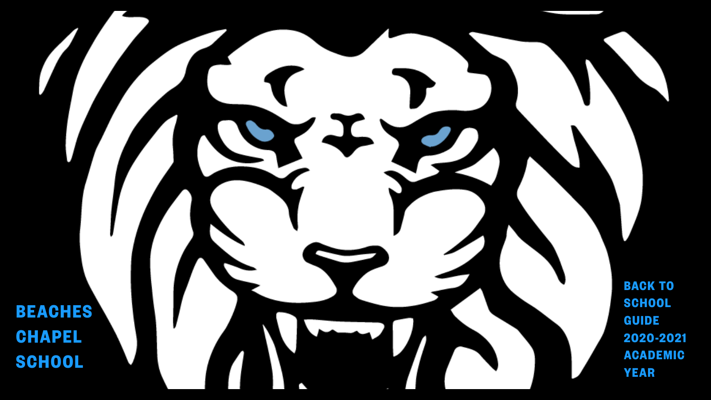**BACK TO SCHOOL GUIDE 2020-2021 ACADEMIC YEAR**



**BEACHES CHAPEL SCHOOL**

ANTY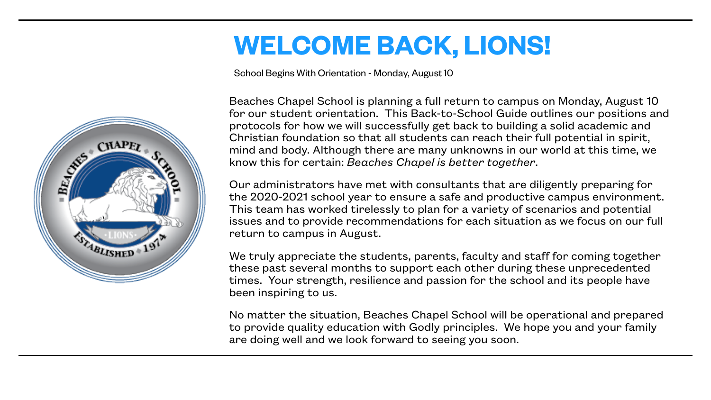School Begins With Orientation - Monday, August 10



## **WELCOME BACK, LIONS!**

Beaches Chapel School is planning a full return to campus on Monday, August 10 for our student orientation. This Back-to-School Guide outlines our positions and protocols for how we will successfully get back to building a solid academic and Christian foundation so that all students can reach their full potential in spirit, mind and body. Although there are many unknowns in our world at this time, we know this for certain: *Beaches Chapel is better together*.

Our administrators have met with consultants that are diligently preparing for the 2020-2021 school year to ensure a safe and productive campus environment. This team has worked tirelessly to plan for a variety of scenarios and potential issues and to provide recommendations for each situation as we focus on our full return to campus in August.

We truly appreciate the students, parents, faculty and staff for coming together these past several months to support each other during these unprecedented times. Your strength, resilience and passion for the school and its people have been inspiring to us.

No matter the situation, Beaches Chapel School will be operational and prepared to provide quality education with Godly principles. We hope you and your family are doing well and we look forward to seeing you soon.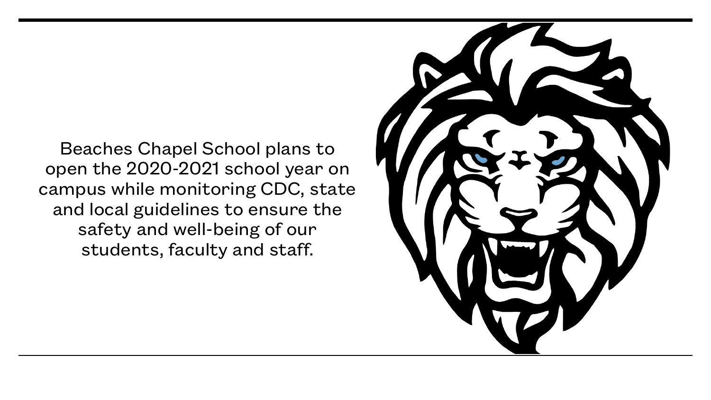Beaches Chapel School plans to open the 2020-2021 school year on campus while monitoring CDC, state and local guidelines to ensure the safety and well-being of our students, faculty and staff.

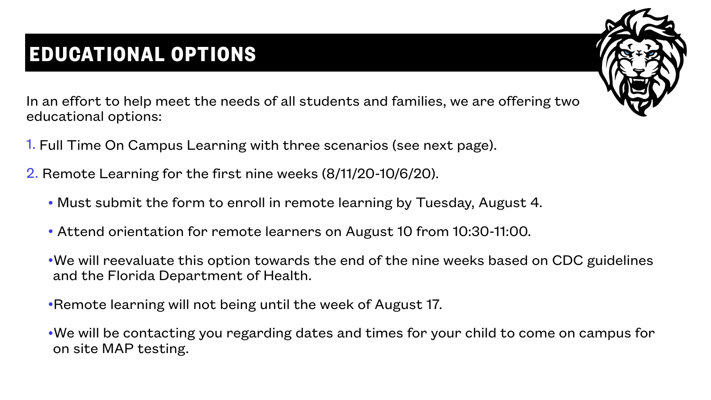### **EDUCATIONAL OPTIONS**

In an effort to help meet the needs of all students and families, we are offering two educational options:

- 1. Full Time On Campus Learning with three scenarios (see next page).
- 2. Remote Learning for the first nine weeks (8/11/20-10/6/20).
	- Must submit the form to enroll in remote learning by Tuesday, August 4.
	- Attend orientation for remote learners on August 10 from 10:30-11:00.
	- •We will reevaluate this option towards the end of the nine weeks based on CDC guidelines and the Florida Department of Health.
	- •Remote learning will not being until the week of August 17.
	- •We will be contacting you regarding dates and times for your child to come on campus for on site MAP testing.

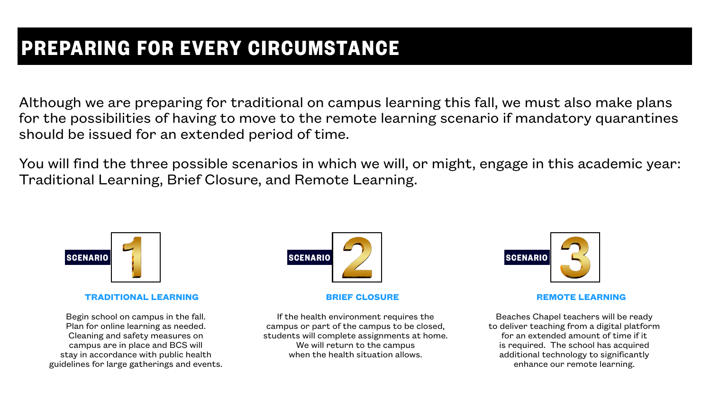### **PREPARING FOR EVERY CIRCUMSTANCE**

Although we are preparing for traditional on campus learning this fall, we must also make plans for the possibilities of having to move to the remote learning scenario if mandatory quarantines should be issued for an extended period of time.

You will find the three possible scenarios in which we will, or might, engage in this academic year: Traditional Learning, Brief Closure, and Remote Learning.

#### **TRADITIONAL LEARNING**

Begin school on campus in the fall. Plan for online learning as needed. Cleaning and safety measures on campus are in place and BCS will stay in accordance with public health guidelines for large gatherings and events.



#### **BRIEF CLOSURE**

If the health environment requires the campus or part of the campus to be closed, students will complete assignments at home. We will return to the campus when the health situation allows.



#### **REMOTE LEARNING**

Beaches Chapel teachers will be ready to deliver teaching from a digital platform for an extended amount of time if it is required. The school has acquired additional technology to significantly enhance our remote learning.





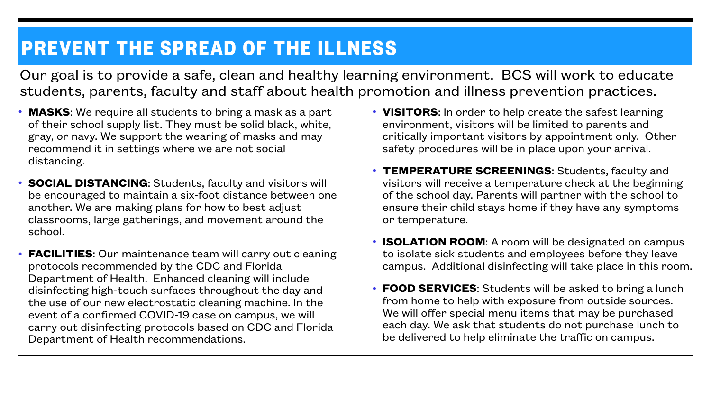- **MASKS**: We require all students to bring a mask as a part of their school supply list. They must be solid black, white, gray, or navy. We support the wearing of masks and may recommend it in settings where we are not social distancing.
- **SOCIAL DISTANCING**: Students, faculty and visitors will be encouraged to maintain a six-foot distance between one another. We are making plans for how to best adjust classrooms, large gatherings, and movement around the school.
- **FACILITIES:** Our maintenance team will carry out cleaning protocols recommended by the CDC and Florida Department of Health. Enhanced cleaning will include disinfecting high-touch surfaces throughout the day and the use of our new electrostatic cleaning machine. In the event of a confirmed COVID-19 case on campus, we will carry out disinfecting protocols based on CDC and Florida Department of Health recommendations.
- **VISITORS**: In order to help create the safest learning environment, visitors will be limited to parents and critically important visitors by appointment only. Other safety procedures will be in place upon your arrival.
- **TEMPERATURE SCREENINGS**: Students, faculty and visitors will receive a temperature check at the beginning of the school day. Parents will partner with the school to ensure their child stays home if they have any symptoms or temperature.
- **ISOLATION ROOM**: A room will be designated on campus to isolate sick students and employees before they leave campus. Additional disinfecting will take place in this room.
- **FOOD SERVICES**: Students will be asked to bring a lunch from home to help with exposure from outside sources. We will offer special menu items that may be purchased each day. We ask that students do not purchase lunch to be delivered to help eliminate the traffic on campus.



### **PREVENT THE SPREAD OF THE ILLNESS**

Our goal is to provide a safe, clean and healthy learning environment. BCS will work to educate students, parents, faculty and staff about health promotion and illness prevention practices.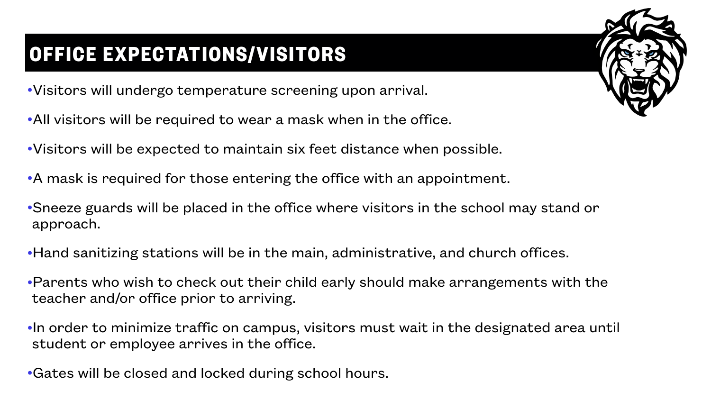### **OFFICE EXPECTATIONS/VISITORS**

- •Visitors will undergo temperature screening upon arrival.
- •All visitors will be required to wear a mask when in the office.
- •Visitors will be expected to maintain six feet distance when possible.
- •A mask is required for those entering the office with an appointment.
- •Sneeze guards will be placed in the office where visitors in the school may stand or approach.
- •Hand sanitizing stations will be in the main, administrative, and church offices.
- •Parents who wish to check out their child early should make arrangements with the teacher and/or office prior to arriving.
- •In order to minimize traffic on campus, visitors must wait in the designated area until student or employee arrives in the office.
- •Gates will be closed and locked during school hours.

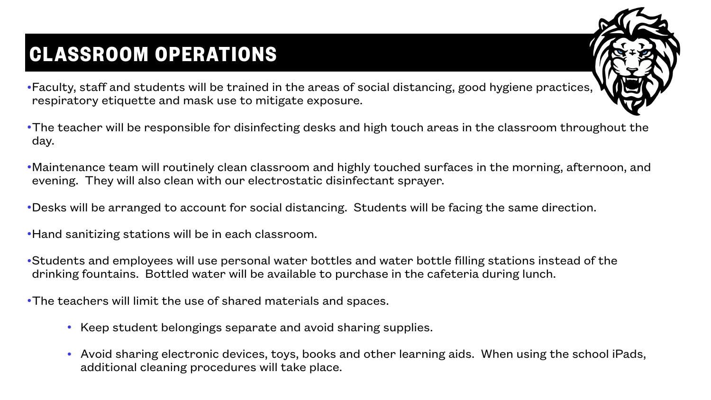### **CLASSROOM OPERATIONS**

•The teacher will be responsible for disinfecting desks and high touch areas in the classroom throughout the

•Maintenance team will routinely clean classroom and highly touched surfaces in the morning, afternoon, and

- •Faculty, staff and students will be trained in the areas of social distancing, good hygiene practices, respiratory etiquette and mask use to mitigate exposure.
- day.
- evening. They will also clean with our electrostatic disinfectant sprayer.
- •Desks will be arranged to account for social distancing. Students will be facing the same direction.
- •Hand sanitizing stations will be in each classroom.
- •Students and employees will use personal water bottles and water bottle filling stations instead of the drinking fountains. Bottled water will be available to purchase in the cafeteria during lunch.
- •The teachers will limit the use of shared materials and spaces.
	- Keep student belongings separate and avoid sharing supplies.
	- additional cleaning procedures will take place.

• Avoid sharing electronic devices, toys, books and other learning aids. When using the school iPads,

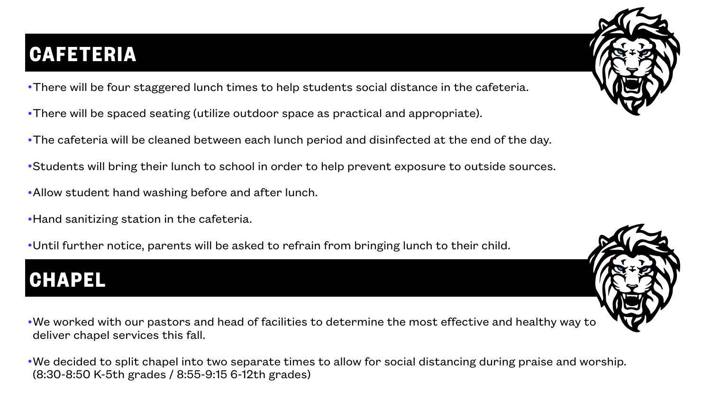### **CAFETERIA**

- •There will be four staggered lunch times to help students social distance in the cafeteria.
- •There will be spaced seating (utilize outdoor space as practical and appropriate).
- •The cafeteria will be cleaned between each lunch period and disinfected at the end of the day.
- •Students will bring their lunch to school in order to help prevent exposure to outside sources.
- •Allow student hand washing before and after lunch.
- •Hand sanitizing station in the cafeteria.
- •Until further notice, parents will be asked to refrain from bringing lunch to their child.

#### **CHAPEL**

- •We worked with our pastors and head of facilities to determine the most effective and healthy way to deliver chapel services this fall.
- •We decided to split chapel into two separate times to allow for social distancing during praise and worship. (8:30-8:50 K-5th grades / 8:55-9:15 6-12th grades)





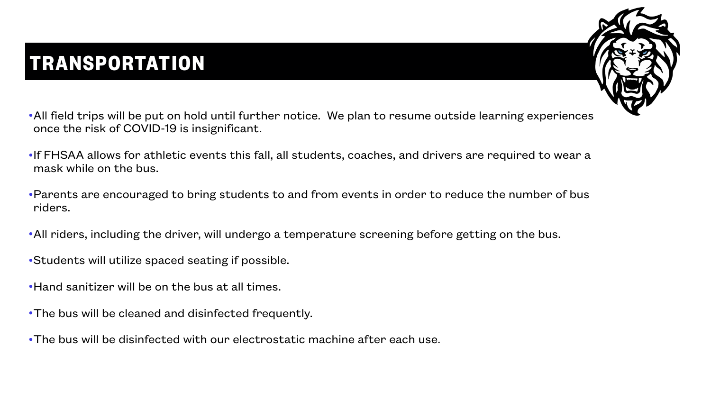### **TRANSPORTATION**

- •All field trips will be put on hold until further notice. We plan to resume outside learning experiences once the risk of COVID-19 is insignificant.
- •If FHSAA allows for athletic events this fall, all students, coaches, and drivers are required to wear a mask while on the bus.
- •Parents are encouraged to bring students to and from events in order to reduce the number of bus riders.
- •All riders, including the driver, will undergo a temperature screening before getting on the bus.
- •Students will utilize spaced seating if possible.
- •Hand sanitizer will be on the bus at all times.
- •The bus will be cleaned and disinfected frequently.
- •The bus will be disinfected with our electrostatic machine after each use.

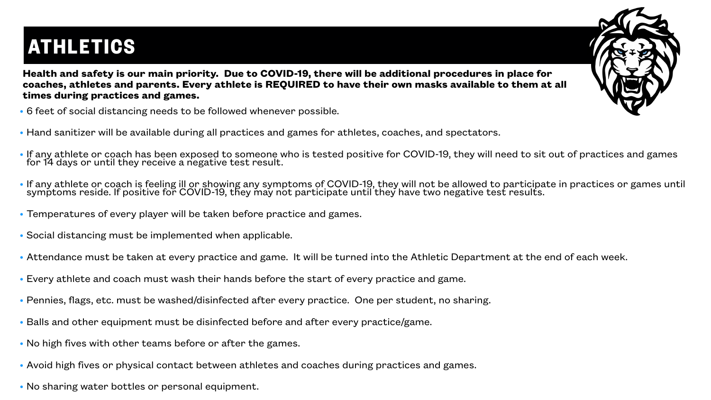## **ATHLETICS**

#### **Health and safety is our main priority. Due to COVID-19, there will be additional procedures in place for coaches, athletes and parents. Every athlete is REQUIRED to have their own masks available to them at all times during practices and games.**

- 6 feet of social distancing needs to be followed whenever possible.
- Hand sanitizer will be available during all practices and games for athletes, coaches, and spectators.
- If any athlete or coach has been exposed to someone who is tested positive for COVID-19, they will need to sit out of practices and games for 14 days or until they receive a negative test result.
- If any athlete or coach is feeling ill or showing any symptoms of COVID-19, they will not be allowed to participate in practices or games until symptoms reside. If positive for COVID-19, they may not participate until they have two negative test results.
- Temperatures of every player will be taken before practice and games.
- Social distancing must be implemented when applicable.
- Attendance must be taken at every practice and game. It will be turned into the Athletic Department at the end of each week.
- Every athlete and coach must wash their hands before the start of every practice and game.
- Pennies, flags, etc. must be washed/disinfected after every practice. One per student, no sharing.
- Balls and other equipment must be disinfected before and after every practice/game.
- No high fives with other teams before or after the games.
- Avoid high fives or physical contact between athletes and coaches during practices and games.
- No sharing water bottles or personal equipment.

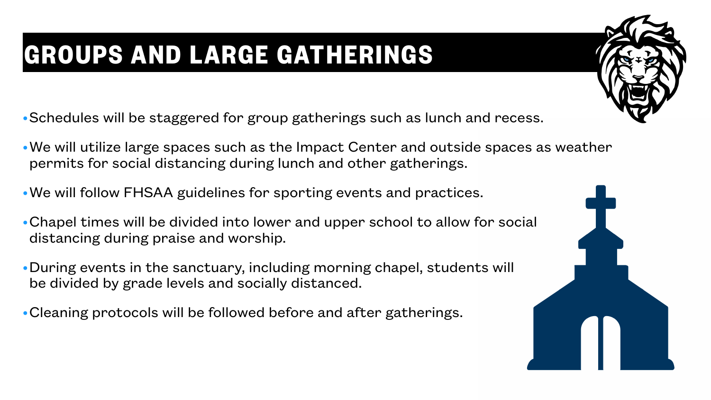# **GROUPS AND LARGE GATHERINGS**

- •Schedules will be staggered for group gatherings such as lunch and recess.
- •We will utilize large spaces such as the Impact Center and outside spaces as weather permits for social distancing during lunch and other gatherings.
- •We will follow FHSAA guidelines for sporting events and practices.
- •Chapel times will be divided into lower and upper school to allow for social distancing during praise and worship.
- •During events in the sanctuary, including morning chapel, students will be divided by grade levels and socially distanced.
- •Cleaning protocols will be followed before and after gatherings.



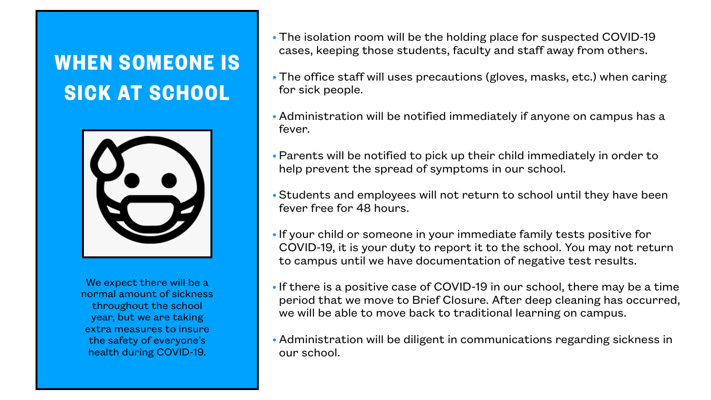### **WHEN SOMEONE IS SICK AT SCHOOL**



• The isolation room will be the holding place for suspected COVID-19 cases, keeping those students, faculty and staff away from others.

• The office staff will uses precautions (gloves, masks, etc.) when caring

• Administration will be notified immediately if anyone on campus has a

• Parents will be notified to pick up their child immediately in order to help prevent the spread of symptoms in our school.

• If there is a positive case of COVID-19 in our school, there may be a time period that we move to Brief Closure. After deep cleaning has occurred, we will be able to move back to traditional learning on campus.

• Students and employees will not return to school until they have been fever free for 48 hours.

We expect there will be a normal amount of sickness throughout the school year, but we are taking extra measures to insure the safety of everyone's health during COVID-19.

- 
- for sick people.
- fever.
- 
- 
- 
- 
- our school.

•If your child or someone in your immediate family tests positive for COVID-19, it is your duty to report it to the school. You may not return to campus until we have documentation of negative test results.

• Administration will be diligent in communications regarding sickness in

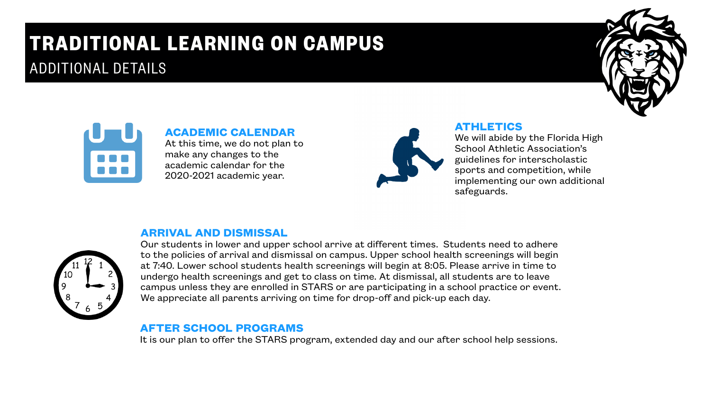#### **TRADITIONAL LEARNING ON CAMPUS**  ADDITIONAL DETAILS



#### **ACADEMIC CALENDAR**

At this time, we do not plan to make any changes to the academic calendar for the 2020-2021 academic year.



#### **ATHLETICS**

We will abide by the Florida High School Athletic Association's guidelines for interscholastic sports and competition, while implementing our own additional safeguards.

#### **AFTER SCHOOL PROGRAMS**

It is our plan to offer the STARS program, extended day and our after school help sessions.





#### **ARRIVAL AND DISMISSAL**

Our students in lower and upper school arrive at different times. Students need to adhere to the policies of arrival and dismissal on campus. Upper school health screenings will begin at 7:40. Lower school students health screenings will begin at 8:05. Please arrive in time to undergo health screenings and get to class on time. At dismissal, all students are to leave campus unless they are enrolled in STARS or are participating in a school practice or event. We appreciate all parents arriving on time for drop-off and pick-up each day.